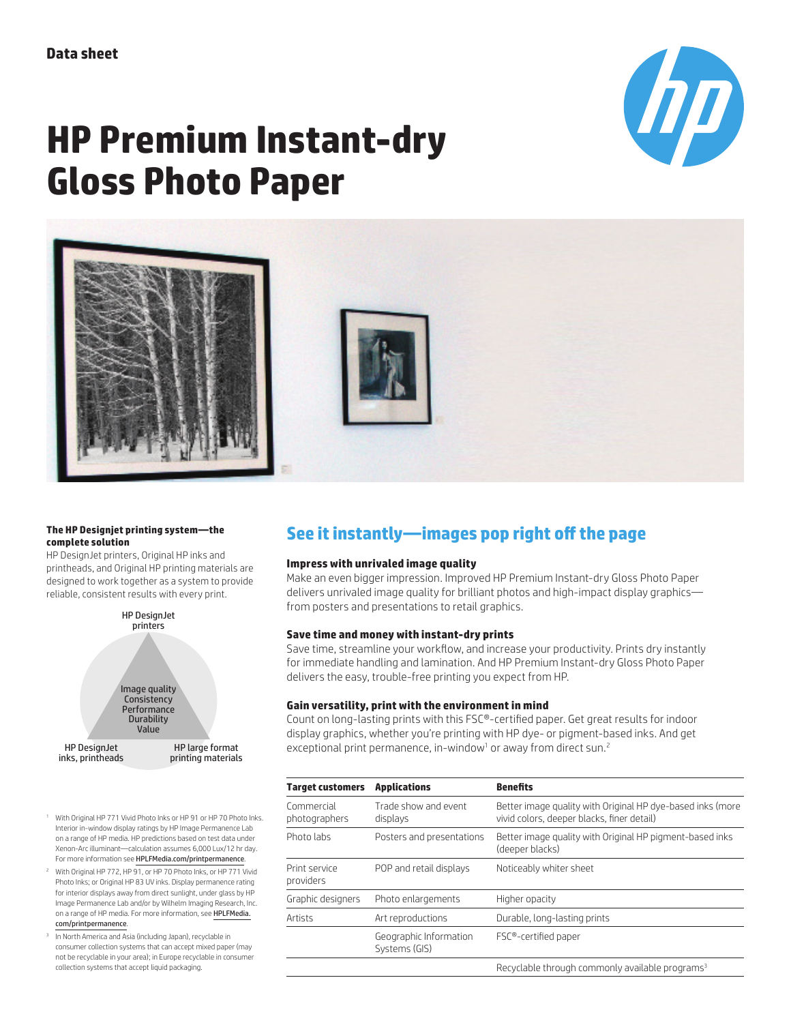

# **HP Premium Instant-dry Gloss Photo Paper**



#### **The HP Designjet printing system—the complete solution**

HP DesignJet printers, Original HP inks and printheads, and Original HP printing materials are designed to work together as a system to provide reliable, consistent results with every print.



HP large format printing materials

- <sup>1</sup> With Original HP 771 Vivid Photo Inks or HP 91 or HP 70 Photo Inks. Interior in-window display ratings by HP Image Permanence Lab on a range of HP media. HP predictions based on test data under Xenon-Arc illuminant—calculation assumes 6,000 Lux/12 hr day. For more information see HPLFMedia.com/printpermanence.
- <sup>2</sup> With Original HP 772, HP 91, or HP 70 Photo Inks, or HP 771 Vivid Photo Inks; or Original HP 83 UV inks. Display permanence rating for interior displays away from direct sunlight, under glass by HP Image Permanence Lab and/or by Wilhelm Imaging Research, Inc. on a range of HP media. For more information, see HPLFMedia. com/printpermanence.
- <sup>3</sup> In North America and Asia (including Japan), recyclable in consumer collection systems that can accept mixed paper (may not be recyclable in your area); in Europe recyclable in consumer collection systems that accept liquid packaging.

# **See it instantly—images pop right off the page**

### **Impress with unrivaled image quality**

Make an even bigger impression. Improved HP Premium Instant-dry Gloss Photo Paper delivers unrivaled image quality for brilliant photos and high-impact display graphics from posters and presentations to retail graphics.

#### **Save time and money with instant-dry prints**

Save time, streamline your workflow, and increase your productivity. Prints dry instantly for immediate handling and lamination. And HP Premium Instant-dry Gloss Photo Paper delivers the easy, trouble-free printing you expect from HP.

### **Gain versatility, print with the environment in mind**

Count on long-lasting prints with this FSC®-certified paper. Get great results for indoor display graphics, whether you're printing with HP dye- or pigment-based inks. And get exceptional print permanence, in-window<sup>1</sup> or away from direct sun.<sup>2</sup>

| <b>Target customers</b>     | <b>Applications</b>                     | <b>Benefits</b>                                                                                          |  |
|-----------------------------|-----------------------------------------|----------------------------------------------------------------------------------------------------------|--|
| Commercial<br>photographers | Trade show and event<br>displays        | Better image quality with Original HP dye-based inks (more<br>vivid colors, deeper blacks, finer detail) |  |
| Photo labs                  | Posters and presentations               | Better image quality with Original HP pigment-based inks<br>(deeper blacks)                              |  |
| Print service<br>providers  | POP and retail displays                 | Noticeably whiter sheet                                                                                  |  |
| Graphic designers           | Photo enlargements                      | Higher opacity                                                                                           |  |
| Artists                     | Art reproductions                       | Durable, long-lasting prints                                                                             |  |
|                             | Geographic Information<br>Systems (GIS) | FSC®-certified paper                                                                                     |  |
|                             |                                         | Recyclable through commonly available programs <sup>3</sup>                                              |  |